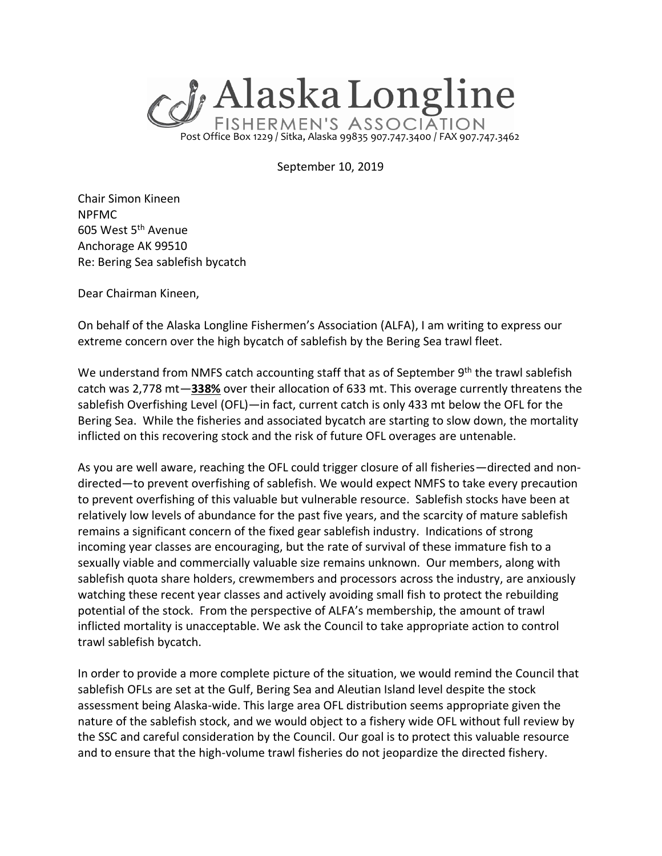

September 10, 2019

Chair Simon Kineen NPFMC 605 West 5th Avenue Anchorage AK 99510 Re: Bering Sea sablefish bycatch

Dear Chairman Kineen,

On behalf of the Alaska Longline Fishermen's Association (ALFA), I am writing to express our extreme concern over the high bycatch of sablefish by the Bering Sea trawl fleet.

We understand from NMFS catch accounting staff that as of September 9<sup>th</sup> the trawl sablefish catch was 2,778 mt—**338%** over their allocation of 633 mt. This overage currently threatens the sablefish Overfishing Level (OFL)—in fact, current catch is only 433 mt below the OFL for the Bering Sea. While the fisheries and associated bycatch are starting to slow down, the mortality inflicted on this recovering stock and the risk of future OFL overages are untenable.

As you are well aware, reaching the OFL could trigger closure of all fisheries—directed and nondirected—to prevent overfishing of sablefish. We would expect NMFS to take every precaution to prevent overfishing of this valuable but vulnerable resource. Sablefish stocks have been at relatively low levels of abundance for the past five years, and the scarcity of mature sablefish remains a significant concern of the fixed gear sablefish industry. Indications of strong incoming year classes are encouraging, but the rate of survival of these immature fish to a sexually viable and commercially valuable size remains unknown. Our members, along with sablefish quota share holders, crewmembers and processors across the industry, are anxiously watching these recent year classes and actively avoiding small fish to protect the rebuilding potential of the stock. From the perspective of ALFA's membership, the amount of trawl inflicted mortality is unacceptable. We ask the Council to take appropriate action to control trawl sablefish bycatch.

In order to provide a more complete picture of the situation, we would remind the Council that sablefish OFLs are set at the Gulf, Bering Sea and Aleutian Island level despite the stock assessment being Alaska-wide. This large area OFL distribution seems appropriate given the nature of the sablefish stock, and we would object to a fishery wide OFL without full review by the SSC and careful consideration by the Council. Our goal is to protect this valuable resource and to ensure that the high-volume trawl fisheries do not jeopardize the directed fishery.